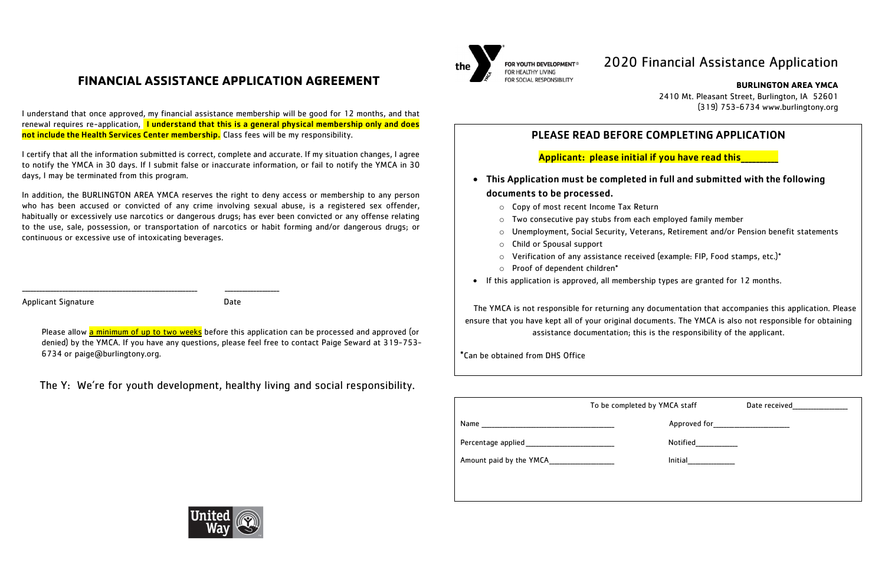I understand that once approved, my financial assistance membership will be good for 12 months, and that renewal requires re-application, I understand that this is a general physical membership only and does not include the Health Services Center membership. Class fees will be my responsibility.

# **FINANCIAL ASSISTANCE APPLICATION AGREEMENT**

I certify that all the information submitted is correct, complete and accurate. If my situation changes, I agree to notify the YMCA in 30 days. If I submit false or inaccurate information, or fail to notify the YMCA in 30 days, I may be terminated from this program.

In addition, the BURLINGTON AREA YMCA reserves the right to deny access or membership to any person who has been accused or convicted of any crime involving sexual abuse, is a registered sex offender, habitually or excessively use narcotics or dangerous drugs; has ever been convicted or any offense relating to the use, sale, possession, or transportation of narcotics or habit forming and/or dangerous drugs; or continuous or excessive use of intoxicating beverages.

Applicant Signature Date

Please allow **a minimum of up to two weeks** before this application can be processed and approved (or denied) by the YMCA. If you have any questions, please feel free to contact Paige Seward at 319-753- 6734 or paige@burlingtony.org.

|                                                                                                                | To be completed by YMCA staff |                                       | Date received_________________ |
|----------------------------------------------------------------------------------------------------------------|-------------------------------|---------------------------------------|--------------------------------|
|                                                                                                                |                               | Approved for_________________________ |                                |
| Percentage applied experience and the set of the set of the set of the set of the set of the set of the set of |                               | Notified                              |                                |
| Amount paid by the YMCA                                                                                        |                               | <b>Initial</b>                        |                                |
|                                                                                                                |                               |                                       |                                |
|                                                                                                                |                               |                                       |                                |



- This Application must be completed in full and submitted with the following documents to be processed.
	- o Copy of most recent Income Tax Return
	- o Two consecutive pay stubs from each employed family member
	-
	- o Child or Spousal support
	- o Verification of any assistance received (example: FIP, Food stamps, etc.)\*
	- o Proof of dependent children\*
- If this application is approved, all membership types are granted for 12 months.

\_\_\_\_\_\_\_\_\_\_\_\_\_\_\_\_\_\_\_\_\_\_\_\_\_\_\_\_\_\_\_\_\_\_\_\_\_\_\_\_\_\_\_\_\_\_\_\_\_\_\_\_\_\_\_\_\_\_\_\_\_ \_\_\_\_\_\_\_\_\_\_\_\_\_\_\_\_\_\_\_

The Y: We're for youth development, healthy living and social responsibility.



FOR YOUTH DEVELOPMENT® FOR SOCIAL RESPONSIBILITY

# 2020 Financial Assistance Application

**BURLINGTON AREA YMCA**

2410 Mt. Pleasant Street, Burlington, IA 52601 (319) 753-6734 www.burlingtony.org

## PLEASE READ BEFORE COMPLETING APPLICATION

## Applicant: please initial if you have read this\_\_\_\_\_\_\_\_\_\_

o Unemployment, Social Security, Veterans, Retirement and/or Pension benefit statements

The YMCA is not responsible for returning any documentation that accompanies this application. Please ensure that you have kept all of your original documents. The YMCA is also not responsible for obtaining assistance documentation; this is the responsibility of the applicant.

\*Can be obtained from DHS Office